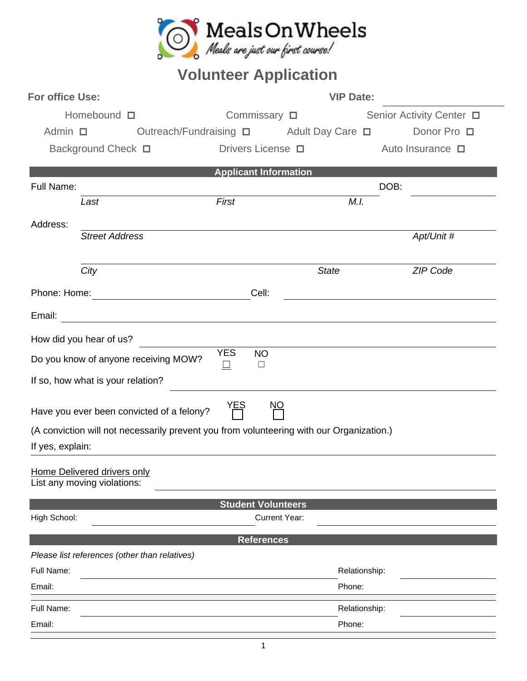

## **Volunteer Application**

| Homebound $\square$<br>Commissary $\square$<br>Senior Activity Center □<br>Admin $\Box$<br>Outreach/Fundraising □ Adult Day Care □<br>Drivers License <b>D</b><br>Background Check □<br>Auto Insurance $\Box$ | Donor Pro □ |  |  |  |  |  |  |  |
|---------------------------------------------------------------------------------------------------------------------------------------------------------------------------------------------------------------|-------------|--|--|--|--|--|--|--|
|                                                                                                                                                                                                               |             |  |  |  |  |  |  |  |
|                                                                                                                                                                                                               |             |  |  |  |  |  |  |  |
|                                                                                                                                                                                                               |             |  |  |  |  |  |  |  |
| <b>Applicant Information</b>                                                                                                                                                                                  |             |  |  |  |  |  |  |  |
| Full Name:<br>DOB:                                                                                                                                                                                            |             |  |  |  |  |  |  |  |
| First<br>M.I.<br>Last                                                                                                                                                                                         |             |  |  |  |  |  |  |  |
| Address:                                                                                                                                                                                                      |             |  |  |  |  |  |  |  |
| <b>Street Address</b>                                                                                                                                                                                         | Apt/Unit #  |  |  |  |  |  |  |  |
|                                                                                                                                                                                                               |             |  |  |  |  |  |  |  |
| <b>State</b><br>City                                                                                                                                                                                          | ZIP Code    |  |  |  |  |  |  |  |
| Cell:                                                                                                                                                                                                         |             |  |  |  |  |  |  |  |
|                                                                                                                                                                                                               |             |  |  |  |  |  |  |  |
| How did you hear of us?                                                                                                                                                                                       |             |  |  |  |  |  |  |  |
| <b>YES</b><br><b>NO</b>                                                                                                                                                                                       |             |  |  |  |  |  |  |  |
| Do you know of anyone receiving MOW?<br>$\Box$<br>⊔                                                                                                                                                           |             |  |  |  |  |  |  |  |
| If so, how what is your relation?                                                                                                                                                                             |             |  |  |  |  |  |  |  |
| <u>NO</u><br>YEŞ<br> <br>Have you ever been convicted of a felony?                                                                                                                                            |             |  |  |  |  |  |  |  |
| (A conviction will not necessarily prevent you from volunteering with our Organization.)                                                                                                                      |             |  |  |  |  |  |  |  |
| If yes, explain:                                                                                                                                                                                              |             |  |  |  |  |  |  |  |
| Home Delivered drivers only<br>List any moving violations:                                                                                                                                                    |             |  |  |  |  |  |  |  |
| <b>Student Volunteers</b>                                                                                                                                                                                     |             |  |  |  |  |  |  |  |
| <b>Current Year:</b><br>High School:                                                                                                                                                                          |             |  |  |  |  |  |  |  |
| <b>References</b>                                                                                                                                                                                             |             |  |  |  |  |  |  |  |
| Please list references (other than relatives)                                                                                                                                                                 |             |  |  |  |  |  |  |  |
| Full Name:<br>Relationship:                                                                                                                                                                                   |             |  |  |  |  |  |  |  |
| Phone:<br>Email:                                                                                                                                                                                              |             |  |  |  |  |  |  |  |
| Full Name:<br>Relationship:                                                                                                                                                                                   |             |  |  |  |  |  |  |  |
| Phone:<br>Email:                                                                                                                                                                                              |             |  |  |  |  |  |  |  |